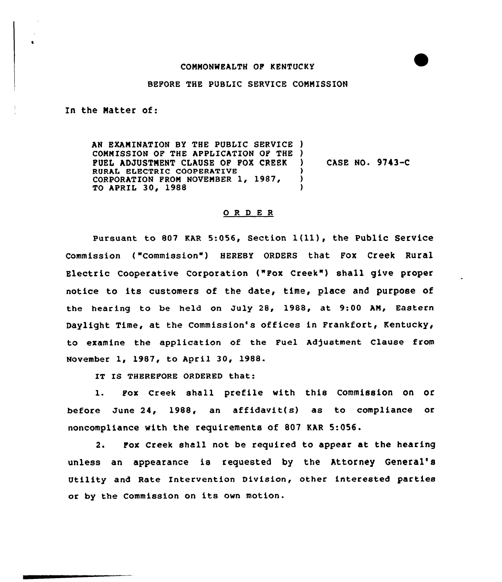## COMMONWEALTH OF KENTUCKY

## BEFORE THE PUBLIC SERVICE COMMISSION

In the Matter of:

AN EXAMINATION BY THE PUBLIC SERVICE l COMMISSION OF THE APPLICATION OP THE ) FUEL ADJUSTMENT CLAUSE OF POX CREEK RURAL ELECTRIC COOPERATIVE CORPORATION FROM NOVEMBER 1, 1987, TO APRIL 30, 1988 ) CASE NO. 9743-C ) ) )

## 0 R <sup>D</sup> E R

Pursuant to 807 KAR 5:056, Section  $1(11)$ , the Public Service commission ( "commission" ) HEREBY 0RDERs that Fox Creek Rural Electric Cooperative Corporation ("Pox Creek" ) shall give proper notice to its customers of the date, time, place and purpose of the hearing to be held on July 28, 1988, at 9:00 AN, Eastern Daylight Time, at the Commission's offices in Frankfort, Kentucky, to examine the application of the Fuel Adjustment Clause from November 1, 1987, to April 30, 1988.

IT IS THEREFORE ORDERED that:

1. pox creek shall prefile with this commission on or before June 24, 1988, an affidavit(s) as to compliance or noncompliance with the requirements of 807 KAR 5:056.

2. Pox Creek shall not be required to appear at the hearing unless an appearance is requested by the Attorney General' Utility and Rate Intervention Division, other interested parties ar by the Commission on its own motion.